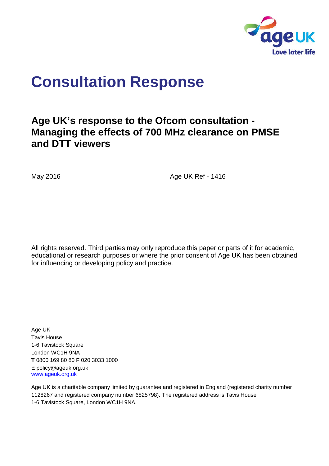

# **Consultation Response**

## **Age UK's response to the Ofcom consultation - Managing the effects of 700 MHz clearance on PMSE and DTT viewers**

May 2016 **Age UK Ref - 1416** 

All rights reserved. Third parties may only reproduce this paper or parts of it for academic, educational or research purposes or where the prior consent of Age UK has been obtained for influencing or developing policy and practice.

Age UK Tavis House 1-6 Tavistock Square London WC1H 9NA **T** 0800 169 80 80 **F** 020 3033 1000 E policy@ageuk.org.uk [www.ageuk.org.uk](http://www.ageuk.org.uk/)

Age UK is a charitable company limited by guarantee and registered in England (registered charity number 1128267 and registered company number 6825798). The registered address is Tavis House 1-6 Tavistock Square, London WC1H 9NA.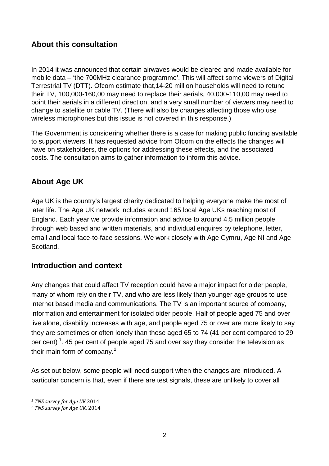## **About this consultation**

In 2014 it was announced that certain airwaves would be cleared and made available for mobile data – 'the 700MHz clearance programme'. This will affect some viewers of Digital Terrestrial TV (DTT). Ofcom estimate that,14-20 million households will need to retune their TV, 100,000-160,00 may need to replace their aerials, 40,000-110,00 may need to point their aerials in a different direction, and a very small number of viewers may need to change to satellite or cable TV. (There will also be changes affecting those who use wireless microphones but this issue is not covered in this response.)

The Government is considering whether there is a case for making public funding available to support viewers. It has requested advice from Ofcom on the effects the changes will have on stakeholders, the options for addressing these effects, and the associated costs. The consultation aims to gather information to inform this advice.

## **About Age UK**

Age UK is the country's largest charity dedicated to helping everyone make the most of later life. The Age UK network includes around 165 local Age UKs reaching most of England. Each year we provide information and advice to around 4.5 million people through web based and written materials, and individual enquires by telephone, letter, email and local face-to-face sessions. We work closely with Age Cymru, Age NI and Age Scotland.

### **Introduction and context**

Any changes that could affect TV reception could have a major impact for older people, many of whom rely on their TV, and who are less likely than younger age groups to use internet based media and communications. The TV is an important source of company, information and entertainment for isolated older people. Half of people aged 75 and over live alone, disability increases with age, and people aged 75 or over are more likely to say they are sometimes or often lonely than those aged 65 to 74 (41 per cent compared to 29 per cent) <sup>[1](#page-1-0)</sup>. 45 per cent of people aged 75 and over say they consider the television as their main form of company.<sup>[2](#page-1-1)</sup>

As set out below, some people will need support when the changes are introduced. A particular concern is that, even if there are test signals, these are unlikely to cover all

<span id="page-1-0"></span><sup>&</sup>lt;sup>1</sup> TNS survey for Age UK 2014.

<span id="page-1-1"></span>*<sup>1</sup> TNS survey for Age UK* 2014. *<sup>2</sup> TNS survey for Age UK*, 2014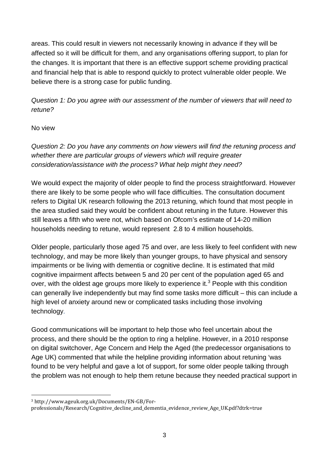areas. This could result in viewers not necessarily knowing in advance if they will be affected so it will be difficult for them, and any organisations offering support, to plan for the changes. It is important that there is an effective support scheme providing practical and financial help that is able to respond quickly to protect vulnerable older people. We believe there is a strong case for public funding.

*Question 1: Do you agree with our assessment of the number of viewers that will need to retune?* 

#### No view

*Question 2: Do you have any comments on how viewers will find the retuning process and whether there are particular groups of viewers which will require greater consideration/assistance with the process? What help might they need?* 

We would expect the majority of older people to find the process straightforward. However there are likely to be some people who will face difficulties. The consultation document refers to Digital UK research following the 2013 retuning, which found that most people in the area studied said they would be confident about retuning in the future. However this still leaves a fifth who were not, which based on Ofcom's estimate of 14-20 million households needing to retune, would represent 2.8 to 4 million households.

Older people, particularly those aged 75 and over, are less likely to feel confident with new technology, and may be more likely than younger groups, to have physical and sensory impairments or be living with dementia or cognitive decline. It is estimated that mild cognitive impairment affects between 5 and 20 per cent of the population aged 65 and over, with the oldest age groups more likely to experience it.<sup>[3](#page-2-0)</sup> People with this condition can generally live independently but may find some tasks more difficult – this can include a high level of anxiety around new or complicated tasks including those involving technology.

Good communications will be important to help those who feel uncertain about the process, and there should be the option to ring a helpline. However, in a 2010 response on digital switchover, Age Concern and Help the Aged (the predecessor organisations to Age UK) commented that while the helpline providing information about retuning 'was found to be very helpful and gave a lot of support, for some older people talking through the problem was not enough to help them retune because they needed practical support in

<sup>3</sup> http://www.ageuk.org.uk/Documents/EN-GB/Forl

<span id="page-2-0"></span>professionals/Research/Cognitive\_decline\_and\_dementia\_evidence\_review\_Age\_UK.pdf?dtrk=true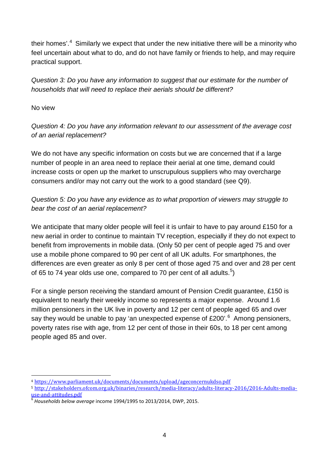their homes'.<sup>[4](#page-3-0)</sup> Similarly we expect that under the new initiative there will be a minority who feel uncertain about what to do, and do not have family or friends to help, and may require practical support.

*Question 3: Do you have any information to suggest that our estimate for the number of households that will need to replace their aerials should be different?* 

No view

*Question 4: Do you have any information relevant to our assessment of the average cost of an aerial replacement?* 

We do not have any specific information on costs but we are concerned that if a large number of people in an area need to replace their aerial at one time, demand could increase costs or open up the market to unscrupulous suppliers who may overcharge consumers and/or may not carry out the work to a good standard (see Q9).

#### *Question 5: Do you have any evidence as to what proportion of viewers may struggle to bear the cost of an aerial replacement?*

We anticipate that many older people will feel it is unfair to have to pay around £150 for a new aerial in order to continue to maintain TV reception, especially if they do not expect to benefit from improvements in mobile data. (Only 50 per cent of people aged 75 and over use a mobile phone compared to 90 per cent of all UK adults. For smartphones, the differences are even greater as only 8 per cent of those aged 75 and over and 28 per cent of 6[5](#page-3-1) to 74 year olds use one, compared to 70 per cent of all adults.<sup>5</sup>)

For a single person receiving the standard amount of Pension Credit guarantee, £150 is equivalent to nearly their weekly income so represents a major expense. Around 1.6 million pensioners in the UK live in poverty and 12 per cent of people aged 65 and over say they would be unable to pay 'an unexpected expense of £200'. $^6$  $^6$  Among pensioners, poverty rates rise with age, from 12 per cent of those in their 60s, to 18 per cent among people aged 85 and over.

<sup>4</sup> <https://www.parliament.uk/documents/documents/upload/ageconcernukdso.pdf> j

<span id="page-3-1"></span><span id="page-3-0"></span><sup>5</sup> [http://stakeholders.ofcom.org.uk/binaries/research/media-literacy/adults-literacy-2016/2016-Adults-media](http://stakeholders.ofcom.org.uk/binaries/research/media-literacy/adults-literacy-2016/2016-Adults-media-use-and-attitudes.pdf)[use-and-attitudes.pdf](http://stakeholders.ofcom.org.uk/binaries/research/media-literacy/adults-literacy-2016/2016-Adults-media-use-and-attitudes.pdf) <sup>6</sup> *Households below average* income 1994/1995 to 2013/2014, DWP, 2015.

<span id="page-3-2"></span>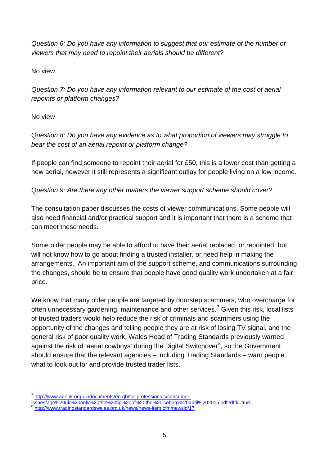*Question 6: Do you have any information to suggest that our estimate of the number of viewers that may need to repoint their aerials should be different?* 

No view

*Question 7: Do you have any information relevant to our estimate of the cost of aerial repoints or platform changes?* 

No view

*Question 8: Do you have any evidence as to what proportion of viewers may struggle to bear the cost of an aerial repoint or platform change?* 

If people can find someone to repoint their aerial for £50, this is a lower cost than getting a new aerial, however it still represents a significant outlay for people living on a low income.

*Question 9: Are there any other matters the viewer support scheme should cover?* 

The consultation paper discusses the costs of viewer communications. Some people will also need financial and/or practical support and it is important that there is a scheme that can meet these needs.

Some older people may be able to afford to have their aerial replaced, or repointed, but will not know how to go about finding a trusted installer, or need help in making the arrangements. An important aim of the support scheme, and communications surrounding the changes, should be to ensure that people have good quality work undertaken at a fair price.

We know that many older people are targeted by doorstep scammers, who overcharge for often unnecessary gardening, maintenance and other services.<sup>[7](#page-4-0)</sup> Given this risk, local lists of trusted traders would help reduce the risk of criminals and scammers using the opportunity of the changes and telling people they are at risk of losing TV signal, and the general risk of poor quality work. Wales Head of Trading Standards previously warned against the risk of 'aerial cowboys' during the Digital Switchover<sup>[8](#page-4-1)</sup>, so the Government should ensure that the relevant agencies – including Trading Standards – warn people what to look out for and provide trusted trader lists.

<span id="page-4-0"></span>[http://www.ageuk.org.uk/documents/en-gb/for-professionals/consumer](http://www.ageuk.org.uk/documents/en-gb/for-professionals/consumer-issues/age%20uk%20only%20the%20tip%20of%20the%20iceberg%20april%202015.pdf?dtrk=true)[issues/age%20uk%20only%20the%20tip%20of%20the%20iceberg%20april%202015.pdf?dtrk=true](http://www.ageuk.org.uk/documents/en-gb/for-professionals/consumer-issues/age%20uk%20only%20the%20tip%20of%20the%20iceberg%20april%202015.pdf?dtrk=true) <sup>8</sup> <http://www.tradingstandardswales.org.uk/news/news-item.cfm/newsid/17>  $\overline{1}$ 

<span id="page-4-1"></span>